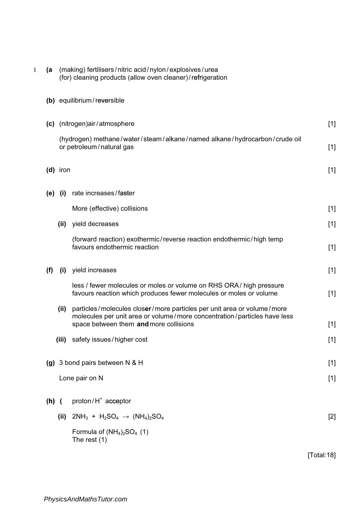|         | (for) cleaning products (allow oven cleaner)/refrigeration                                           |                                                                                                                                                                                              |       |  |  |
|---------|------------------------------------------------------------------------------------------------------|----------------------------------------------------------------------------------------------------------------------------------------------------------------------------------------------|-------|--|--|
|         | (b) equilibrium/reversible                                                                           |                                                                                                                                                                                              |       |  |  |
| (c)     |                                                                                                      | (nitrogen)air/atmosphere                                                                                                                                                                     | $[1]$ |  |  |
|         | (hydrogen) methane/water/steam/alkane/named alkane/hydrocarbon/crude oil<br>or petroleum/natural gas |                                                                                                                                                                                              |       |  |  |
|         | $(d)$ iron                                                                                           |                                                                                                                                                                                              | $[1]$ |  |  |
| (e)     | (i)                                                                                                  | rate increases/faster                                                                                                                                                                        |       |  |  |
|         |                                                                                                      | More (effective) collisions                                                                                                                                                                  | $[1]$ |  |  |
|         | (ii)                                                                                                 | yield decreases                                                                                                                                                                              | $[1]$ |  |  |
|         |                                                                                                      | (forward reaction) exothermic/reverse reaction endothermic/high temp<br>favours endothermic reaction                                                                                         | $[1]$ |  |  |
| (f)     | (i)                                                                                                  | yield increases                                                                                                                                                                              | $[1]$ |  |  |
|         |                                                                                                      | less / fewer molecules or moles or volume on RHS ORA / high pressure<br>favours reaction which produces fewer molecules or moles or volume                                                   | $[1]$ |  |  |
|         | (ii)                                                                                                 | particles/molecules closer/more particles per unit area or volume/more<br>molecules per unit area or volume/more concentration/particles have less<br>space between them and more collisions | $[1]$ |  |  |
|         | (iii)                                                                                                | safety issues/higher cost                                                                                                                                                                    | $[1]$ |  |  |
| (g)     |                                                                                                      | 3 bond pairs between N & H                                                                                                                                                                   | $[1]$ |  |  |
|         |                                                                                                      | Lone pair on N                                                                                                                                                                               | $[1]$ |  |  |
| $(h)$ ( |                                                                                                      | proton/H <sup>+</sup> acceptor                                                                                                                                                               |       |  |  |
|         | (ii)                                                                                                 | $2NH_3 + H_2SO_4 \rightarrow (NH_4)_2SO_4$                                                                                                                                                   | $[2]$ |  |  |
|         |                                                                                                      | Formula of $(NH4)2SO4 (1)$<br>The rest $(1)$                                                                                                                                                 |       |  |  |
|         |                                                                                                      |                                                                                                                                                                                              |       |  |  |

1 (a (making) fertilisers/nitric acid/nylon/explosives/urea

[Total:18]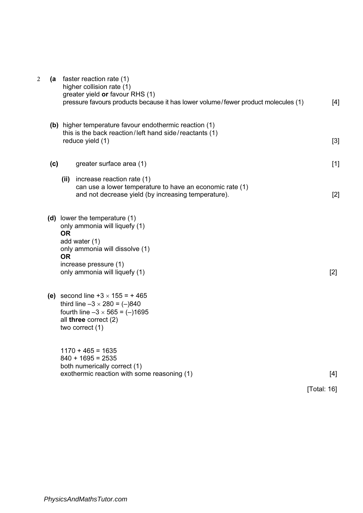| $\overline{2}$ |     | (a faster reaction rate (1)<br>higher collision rate (1)<br>greater yield or favour RHS (1)<br>pressure favours products because it has lower volume/fewer product molecules (1)                      | $[4]$              |
|----------------|-----|-------------------------------------------------------------------------------------------------------------------------------------------------------------------------------------------------------|--------------------|
|                |     | (b) higher temperature favour endothermic reaction (1)<br>this is the back reaction/left hand side/reactants (1)<br>reduce yield (1)                                                                  | $[3]$              |
|                | (c) | greater surface area (1)                                                                                                                                                                              | $[1]$              |
|                |     | increase reaction rate (1)<br>(iii)<br>can use a lower temperature to have an economic rate (1)<br>and not decrease yield (by increasing temperature).                                                | $[2]$              |
|                |     | (d) lower the temperature (1)<br>only ammonia will liquefy (1)<br><b>OR</b><br>add water (1)<br>only ammonia will dissolve (1)<br><b>OR</b><br>increase pressure (1)<br>only ammonia will liquefy (1) | [2]                |
|                |     | (e) second line $+3 \times 155 = +465$<br>third line $-3 \times 280 = (-)840$<br>fourth line $-3 \times 565 = (-1695$<br>all three correct (2)<br>two correct (1)                                     |                    |
|                |     | $1170 + 465 = 1635$<br>$840 + 1695 = 2535$<br>both numerically correct (1)<br>exothermic reaction with some reasoning (1)                                                                             | [4]<br>[Total: 16] |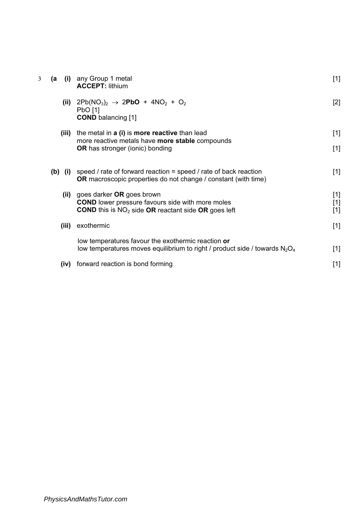| (a    | any Group 1 metal<br><b>ACCEPT: lithium</b>                                                                                               | $[1]$                                                                                                                                                                                                                                                                                 |
|-------|-------------------------------------------------------------------------------------------------------------------------------------------|---------------------------------------------------------------------------------------------------------------------------------------------------------------------------------------------------------------------------------------------------------------------------------------|
|       | PbO [1]<br><b>COND</b> balancing [1]                                                                                                      | $[2]$                                                                                                                                                                                                                                                                                 |
|       | the metal in a (i) is more reactive than lead                                                                                             | $[1]$                                                                                                                                                                                                                                                                                 |
|       | <b>OR</b> has stronger (ionic) bonding                                                                                                    | $[1]$                                                                                                                                                                                                                                                                                 |
|       | speed / rate of forward reaction = speed / rate of back reaction<br><b>OR</b> macroscopic properties do not change / constant (with time) | $[1]$                                                                                                                                                                                                                                                                                 |
|       | goes darker OR goes brown                                                                                                                 | $[1]$                                                                                                                                                                                                                                                                                 |
|       | <b>COND</b> this is $NO2$ side OR reactant side OR goes left                                                                              | $[1]$<br>$[1]$                                                                                                                                                                                                                                                                        |
| (iii) | exothermic                                                                                                                                | $[1]$                                                                                                                                                                                                                                                                                 |
|       | low temperatures favour the exothermic reaction or                                                                                        | $[1]$                                                                                                                                                                                                                                                                                 |
|       |                                                                                                                                           |                                                                                                                                                                                                                                                                                       |
| (iv)  | forward reaction is bond forming                                                                                                          | $[1]$                                                                                                                                                                                                                                                                                 |
|       |                                                                                                                                           | (i)<br>(ii) $2Pb(NO_3)_2 \rightarrow 2PbO + 4NO_2 + O_2$<br>(iii)<br>more reactive metals have more stable compounds<br>$(b)$ (i)<br>(ii)<br><b>COND</b> lower pressure favours side with more moles<br>low temperatures moves equilibrium to right / product side / towards $N_2O_4$ |